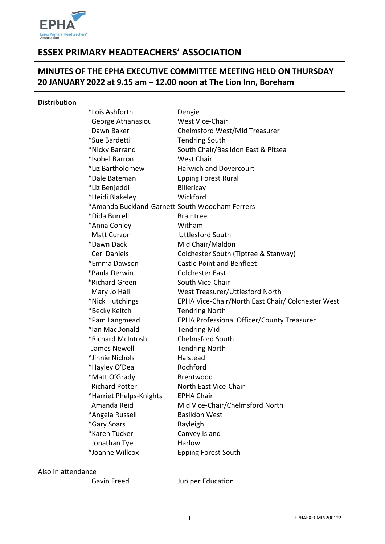

# **ESSEX PRIMARY HEADTEACHERS' ASSOCIATION**

# **MINUTES OF THE EPHA EXECUTIVE COMMITTEE MEETING HELD ON THURSDAY 20 JANUARY 2022 at 9.15 am – 12.00 noon at The Lion Inn, Boreham**

#### **Distribution**

| *Lois Ashforth                                 | Dengie                                            |
|------------------------------------------------|---------------------------------------------------|
| George Athanasiou                              | West Vice-Chair                                   |
| Dawn Baker                                     | Chelmsford West/Mid Treasurer                     |
| *Sue Bardetti                                  | <b>Tendring South</b>                             |
| *Nicky Barrand                                 | South Chair/Basildon East & Pitsea                |
| *Isobel Barron                                 | <b>West Chair</b>                                 |
| *Liz Bartholomew                               | <b>Harwich and Dovercourt</b>                     |
| *Dale Bateman                                  | <b>Epping Forest Rural</b>                        |
| *Liz Benjeddi                                  | Billericay                                        |
| *Heidi Blakeley                                | Wickford                                          |
| *Amanda Buckland-Garnett South Woodham Ferrers |                                                   |
| *Dida Burrell                                  | <b>Braintree</b>                                  |
| *Anna Conley                                   | Witham                                            |
| Matt Curzon                                    | <b>Uttlesford South</b>                           |
| *Dawn Dack                                     | Mid Chair/Maldon                                  |
| Ceri Daniels                                   | Colchester South (Tiptree & Stanway)              |
| *Emma Dawson                                   | <b>Castle Point and Benfleet</b>                  |
| *Paula Derwin                                  | <b>Colchester East</b>                            |
| *Richard Green                                 | South Vice-Chair                                  |
| Mary Jo Hall                                   | West Treasurer/Uttlesford North                   |
| *Nick Hutchings                                | EPHA Vice-Chair/North East Chair/ Colchester West |
| *Becky Keitch                                  | <b>Tendring North</b>                             |
| *Pam Langmead                                  | EPHA Professional Officer/County Treasurer        |
| *Ian MacDonald                                 | <b>Tendring Mid</b>                               |
| *Richard McIntosh                              | <b>Chelmsford South</b>                           |
| James Newell                                   | <b>Tendring North</b>                             |
| *Jinnie Nichols                                | Halstead                                          |
| *Hayley O'Dea                                  | Rochford                                          |
| *Matt O'Grady                                  | Brentwood                                         |
| <b>Richard Potter</b>                          | North East Vice-Chair                             |
| *Harriet Phelps-Knights                        | <b>EPHA Chair</b>                                 |
| Amanda Reid                                    | Mid Vice-Chair/Chelmsford North                   |
| *Angela Russell                                | <b>Basildon West</b>                              |
| *Gary Soars                                    | Rayleigh                                          |
| *Karen Tucker                                  | Canvey Island                                     |
| Jonathan Tye                                   | Harlow                                            |
| *Joanne Willcox                                | <b>Epping Forest South</b>                        |
|                                                |                                                   |

## Also in attendance

Gavin Freed Juniper Education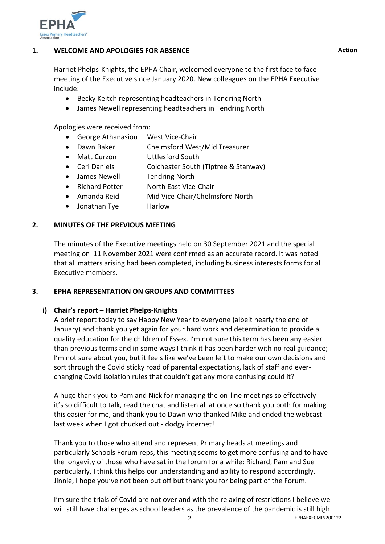

# **1. WELCOME AND APOLOGIES FOR ABSENCE**

Harriet Phelps-Knights, the EPHA Chair, welcomed everyone to the first face to face meeting of the Executive since January 2020. New colleagues on the EPHA Executive include:

- Becky Keitch representing headteachers in Tendring North
- James Newell representing headteachers in Tendring North

Apologies were received from:

- George Athanasiou West Vice-Chair
- Dawn Baker Chelmsford West/Mid Treasurer
- Matt Curzon Uttlesford South
- Ceri Daniels Colchester South (Tiptree & Stanway)
- James Newell Tendring North
- Richard Potter North East Vice-Chair
- Amanda Reid Mid Vice-Chair/Chelmsford North
- Jonathan Tye Harlow

## **2. MINUTES OF THE PREVIOUS MEETING**

The minutes of the Executive meetings held on 30 September 2021 and the special meeting on 11 November 2021 were confirmed as an accurate record. It was noted that all matters arising had been completed, including business interests forms for all Executive members.

#### **3. EPHA REPRESENTATION ON GROUPS AND COMMITTEES**

# **i) Chair's report – Harriet Phelps-Knights**

A brief report today to say Happy New Year to everyone (albeit nearly the end of January) and thank you yet again for your hard work and determination to provide a quality education for the children of Essex. I'm not sure this term has been any easier than previous terms and in some ways I think it has been harder with no real guidance; I'm not sure about you, but it feels like we've been left to make our own decisions and sort through the Covid sticky road of parental expectations, lack of staff and everchanging Covid isolation rules that couldn't get any more confusing could it?

A huge thank you to Pam and Nick for managing the on-line meetings so effectively it's so difficult to talk, read the chat and listen all at once so thank you both for making this easier for me, and thank you to Dawn who thanked Mike and ended the webcast last week when I got chucked out - dodgy internet!

Thank you to those who attend and represent Primary heads at meetings and particularly Schools Forum reps, this meeting seems to get more confusing and to have the longevity of those who have sat in the forum for a while: Richard, Pam and Sue particularly, I think this helps our understanding and ability to respond accordingly. Jinnie, I hope you've not been put off but thank you for being part of the Forum.

I'm sure the trials of Covid are not over and with the relaxing of restrictions I believe we will still have challenges as school leaders as the prevalence of the pandemic is still high

**Action**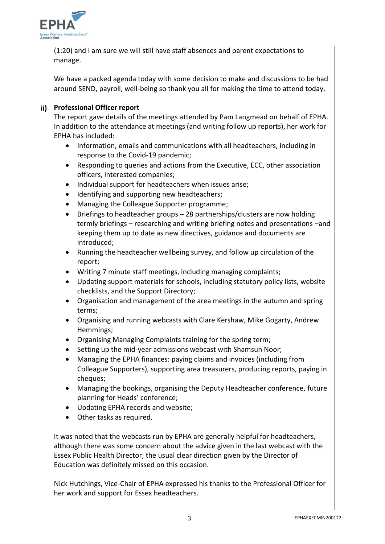

(1:20) and I am sure we will still have staff absences and parent expectations to manage.

We have a packed agenda today with some decision to make and discussions to be had around SEND, payroll, well-being so thank you all for making the time to attend today.

# **ii) Professional Officer report**

The report gave details of the meetings attended by Pam Langmead on behalf of EPHA. In addition to the attendance at meetings (and writing follow up reports), her work for EPHA has included:

- Information, emails and communications with all headteachers, including in response to the Covid-19 pandemic;
- Responding to queries and actions from the Executive, ECC, other association officers, interested companies;
- Individual support for headteachers when issues arise;
- Identifying and supporting new headteachers;
- Managing the Colleague Supporter programme;
- Briefings to headteacher groups 28 partnerships/clusters are now holding termly briefings – researching and writing briefing notes and presentations –and keeping them up to date as new directives, guidance and documents are introduced;
- Running the headteacher wellbeing survey, and follow up circulation of the report;
- Writing 7 minute staff meetings, including managing complaints;
- Updating support materials for schools, including statutory policy lists, website checklists, and the Support Directory;
- Organisation and management of the area meetings in the autumn and spring terms;
- Organising and running webcasts with Clare Kershaw, Mike Gogarty, Andrew Hemmings;
- Organising Managing Complaints training for the spring term;
- Setting up the mid-year admissions webcast with Shamsun Noor;
- Managing the EPHA finances: paying claims and invoices (including from Colleague Supporters), supporting area treasurers, producing reports, paying in cheques;
- Managing the bookings, organising the Deputy Headteacher conference, future planning for Heads' conference;
- Updating EPHA records and website;
- Other tasks as required.

It was noted that the webcasts run by EPHA are generally helpful for headteachers, although there was some concern about the advice given in the last webcast with the Essex Public Health Director; the usual clear direction given by the Director of Education was definitely missed on this occasion.

Nick Hutchings, Vice-Chair of EPHA expressed his thanks to the Professional Officer for her work and support for Essex headteachers.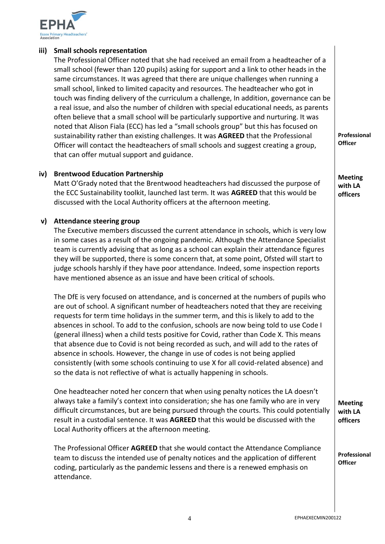

# **iii) Small schools representation**

The Professional Officer noted that she had received an email from a headteacher of a small school (fewer than 120 pupils) asking for support and a link to other heads in the same circumstances. It was agreed that there are unique challenges when running a small school, linked to limited capacity and resources. The headteacher who got in touch was finding delivery of the curriculum a challenge, In addition, governance can be a real issue, and also the number of children with special educational needs, as parents often believe that a small school will be particularly supportive and nurturing. It was noted that Alison Fiala (ECC) has led a "small schools group" but this has focused on sustainability rather than existing challenges. It was **AGREED** that the Professional Officer will contact the headteachers of small schools and suggest creating a group, that can offer mutual support and guidance.

**iv) Brentwood Education Partnership**

Matt O'Grady noted that the Brentwood headteachers had discussed the purpose of the ECC Sustainability toolkit, launched last term. It was **AGREED** that this would be discussed with the Local Authority officers at the afternoon meeting.

## **v) Attendance steering group**

The Executive members discussed the current attendance in schools, which is very low in some cases as a result of the ongoing pandemic. Although the Attendance Specialist team is currently advising that as long as a school can explain their attendance figures they will be supported, there is some concern that, at some point, Ofsted will start to judge schools harshly if they have poor attendance. Indeed, some inspection reports have mentioned absence as an issue and have been critical of schools.

The DfE is very focused on attendance, and is concerned at the numbers of pupils who are out of school. A significant number of headteachers noted that they are receiving requests for term time holidays in the summer term, and this is likely to add to the absences in school. To add to the confusion, schools are now being told to use Code I (general illness) when a child tests positive for Covid, rather than Code X. This means that absence due to Covid is not being recorded as such, and will add to the rates of absence in schools. However, the change in use of codes is not being applied consistently (with some schools continuing to use X for all covid-related absence) and so the data is not reflective of what is actually happening in schools.

One headteacher noted her concern that when using penalty notices the LA doesn't always take a family's context into consideration; she has one family who are in very difficult circumstances, but are being pursued through the courts. This could potentially result in a custodial sentence. It was **AGREED** that this would be discussed with the Local Authority officers at the afternoon meeting.

The Professional Officer **AGREED** that she would contact the Attendance Compliance team to discuss the intended use of penalty notices and the application of different coding, particularly as the pandemic lessens and there is a renewed emphasis on attendance.

**Professional Officer**

**Meeting with LA officers** 

**Meeting with LA officers**

**Professional Officer**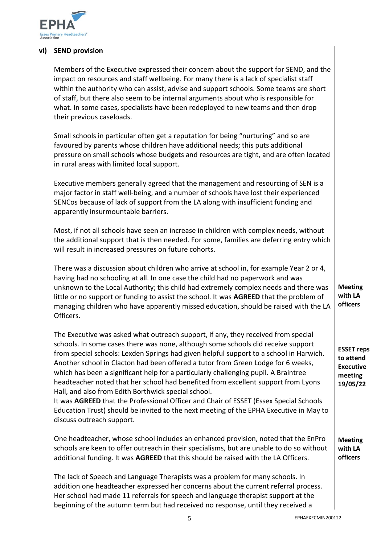

## **vi) SEND provision**

Members of the Executive expressed their concern about the support for SEND, and the impact on resources and staff wellbeing. For many there is a lack of specialist staff within the authority who can assist, advise and support schools. Some teams are short of staff, but there also seem to be internal arguments about who is responsible for what. In some cases, specialists have been redeployed to new teams and then drop their previous caseloads.

Small schools in particular often get a reputation for being "nurturing" and so are favoured by parents whose children have additional needs; this puts additional pressure on small schools whose budgets and resources are tight, and are often located in rural areas with limited local support.

Executive members generally agreed that the management and resourcing of SEN is a major factor in staff well-being, and a number of schools have lost their experienced SENCos because of lack of support from the LA along with insufficient funding and apparently insurmountable barriers.

Most, if not all schools have seen an increase in children with complex needs, without the additional support that is then needed. For some, families are deferring entry which will result in increased pressures on future cohorts.

There was a discussion about children who arrive at school in, for example Year 2 or 4, having had no schooling at all. In one case the child had no paperwork and was unknown to the Local Authority; this child had extremely complex needs and there was little or no support or funding to assist the school. It was **AGREED** that the problem of managing children who have apparently missed education, should be raised with the LA Officers.

The Executive was asked what outreach support, if any, they received from special schools. In some cases there was none, although some schools did receive support from special schools: Lexden Springs had given helpful support to a school in Harwich. Another school in Clacton had been offered a tutor from Green Lodge for 6 weeks, which has been a significant help for a particularly challenging pupil. A Braintree headteacher noted that her school had benefited from excellent support from Lyons Hall, and also from Edith Borthwick special school.

It was **AGREED** that the Professional Officer and Chair of ESSET (Essex Special Schools Education Trust) should be invited to the next meeting of the EPHA Executive in May to discuss outreach support.

One headteacher, whose school includes an enhanced provision, noted that the EnPro schools are keen to offer outreach in their specialisms, but are unable to do so without additional funding. It was **AGREED** that this should be raised with the LA Officers.

The lack of Speech and Language Therapists was a problem for many schools. In addition one headteacher expressed her concerns about the current referral process. Her school had made 11 referrals for speech and language therapist support at the beginning of the autumn term but had received no response, until they received a

**Meeting with LA officers**

**ESSET reps to attend Executive meeting 19/05/22**

**Meeting with LA officers**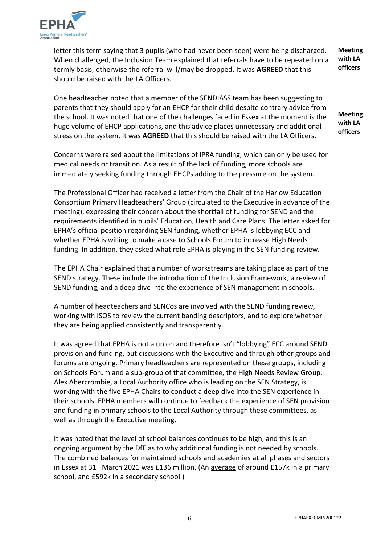

letter this term saying that 3 pupils (who had never been seen) were being discharged. When challenged, the Inclusion Team explained that referrals have to be repeated on a termly basis, otherwise the referral will/may be dropped. It was **AGREED** that this should be raised with the LA Officers.

One headteacher noted that a member of the SENDIASS team has been suggesting to parents that they should apply for an EHCP for their child despite contrary advice from the school. It was noted that one of the challenges faced in Essex at the moment is the huge volume of EHCP applications, and this advice places unnecessary and additional stress on the system. It was **AGREED** that this should be raised with the LA Officers.

Concerns were raised about the limitations of IPRA funding, which can only be used for medical needs or transition. As a result of the lack of funding, more schools are immediately seeking funding through EHCPs adding to the pressure on the system.

The Professional Officer had received a letter from the Chair of the Harlow Education Consortium Primary Headteachers' Group (circulated to the Executive in advance of the meeting), expressing their concern about the shortfall of funding for SEND and the requirements identified in pupils' Education, Health and Care Plans. The letter asked for EPHA's official position regarding SEN funding, whether EPHA is lobbying ECC and whether EPHA is willing to make a case to Schools Forum to increase High Needs funding. In addition, they asked what role EPHA is playing in the SEN funding review.

The EPHA Chair explained that a number of workstreams are taking place as part of the SEND strategy. These include the introduction of the Inclusion Framework, a review of SEND funding, and a deep dive into the experience of SEN management in schools.

A number of headteachers and SENCos are involved with the SEND funding review, working with ISOS to review the current banding descriptors, and to explore whether they are being applied consistently and transparently.

It was agreed that EPHA is not a union and therefore isn't "lobbying" ECC around SEND provision and funding, but discussions with the Executive and through other groups and forums are ongoing. Primary headteachers are represented on these groups, including on Schools Forum and a sub-group of that committee, the High Needs Review Group. Alex Abercrombie, a Local Authority office who is leading on the SEN Strategy, is working with the five EPHA Chairs to conduct a deep dive into the SEN experience in their schools. EPHA members will continue to feedback the experience of SEN provision and funding in primary schools to the Local Authority through these committees, as well as through the Executive meeting.

It was noted that the level of school balances continues to be high, and this is an ongoing argument by the DfE as to why additional funding is not needed by schools. The combined balances for maintained schools and academies at all phases and sectors in Essex at 31<sup>st</sup> March 2021 was £136 million. (An average of around £157k in a primary school, and £592k in a secondary school.)

**Meeting with LA officers**

**Meeting with LA officers**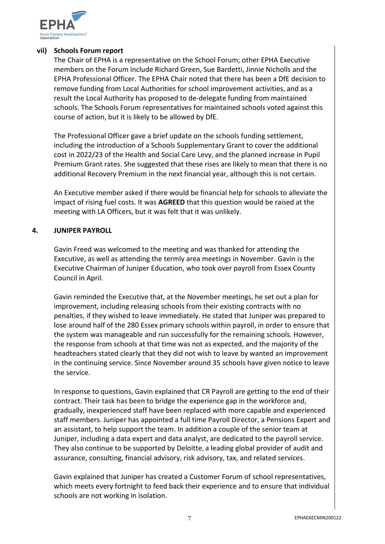

## **vii) Schools Forum report**

The Chair of EPHA is a representative on the School Forum; other EPHA Executive members on the Forum include Richard Green, Sue Bardetti, Jinnie Nicholls and the EPHA Professional Officer. The EPHA Chair noted that there has been a DfE decision to remove funding from Local Authorities for school improvement activities, and as a result the Local Authority has proposed to de-delegate funding from maintained schools. The Schools Forum representatives for maintained schools voted against this course of action, but it is likely to be allowed by DfE.

The Professional Officer gave a brief update on the schools funding settlement, including the introduction of a Schools Supplementary Grant to cover the additional cost in 2022/23 of the Health and Social Care Levy, and the planned increase in Pupil Premium Grant rates. She suggested that these rises are likely to mean that there is no additional Recovery Premium in the next financial year, although this is not certain.

An Executive member asked if there would be financial help for schools to alleviate the impact of rising fuel costs. It was **AGREED** that this question would be raised at the meeting with LA Officers, but it was felt that it was unlikely.

# **4. JUNIPER PAYROLL**

Gavin Freed was welcomed to the meeting and was thanked for attending the Executive, as well as attending the termly area meetings in November. Gavin is the Executive Chairman of Juniper Education, who took over payroll from Essex County Council in April.

Gavin reminded the Executive that, at the November meetings, he set out a plan for improvement, including releasing schools from their existing contracts with no penalties, if they wished to leave immediately. He stated that Juniper was prepared to lose around half of the 280 Essex primary schools within payroll, in order to ensure that the system was manageable and run successfully for the remaining schools. However, the response from schools at that time was not as expected, and the majority of the headteachers stated clearly that they did not wish to leave by wanted an improvement in the continuing service. Since November around 35 schools have given notice to leave the service.

In response to questions, Gavin explained that CR Payroll are getting to the end of their contract. Their task has been to bridge the experience gap in the workforce and, gradually, inexperienced staff have been replaced with more capable and experienced staff members. Juniper has appointed a full time Payroll Director, a Pensions Expert and an assistant, to help support the team. In addition a couple of the senior team at Juniper, including a data expert and data analyst, are dedicated to the payroll service. They also continue to be supported by Deloitte, a leading global provider of audit and assurance, consulting, financial advisory, risk advisory, tax, and related services.

Gavin explained that Juniper has created a Customer Forum of school representatives, which meets every fortnight to feed back their experience and to ensure that individual schools are not working in isolation.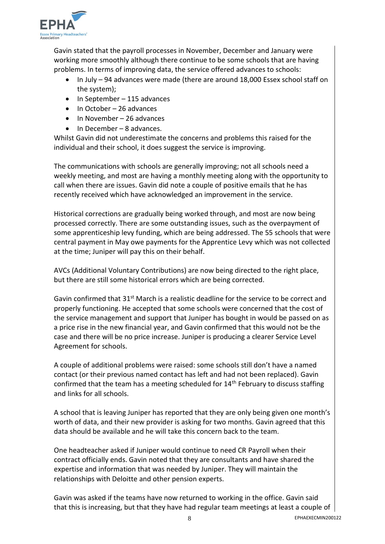

Gavin stated that the payroll processes in November, December and January were working more smoothly although there continue to be some schools that are having problems. In terms of improving data, the service offered advances to schools:

- In July 94 advances were made (there are around 18,000 Essex school staff on the system);
- $\bullet$  In September 115 advances
- $\bullet$  In October 26 advances
- $\bullet$  In November 26 advances
- In December 8 advances.

Whilst Gavin did not underestimate the concerns and problems this raised for the individual and their school, it does suggest the service is improving.

The communications with schools are generally improving; not all schools need a weekly meeting, and most are having a monthly meeting along with the opportunity to call when there are issues. Gavin did note a couple of positive emails that he has recently received which have acknowledged an improvement in the service.

Historical corrections are gradually being worked through, and most are now being processed correctly. There are some outstanding issues, such as the overpayment of some apprenticeship levy funding, which are being addressed. The 55 schools that were central payment in May owe payments for the Apprentice Levy which was not collected at the time; Juniper will pay this on their behalf.

AVCs (Additional Voluntary Contributions) are now being directed to the right place, but there are still some historical errors which are being corrected.

Gavin confirmed that 31<sup>st</sup> March is a realistic deadline for the service to be correct and properly functioning. He accepted that some schools were concerned that the cost of the service management and support that Juniper has bought in would be passed on as a price rise in the new financial year, and Gavin confirmed that this would not be the case and there will be no price increase. Juniper is producing a clearer Service Level Agreement for schools.

A couple of additional problems were raised: some schools still don't have a named contact (or their previous named contact has left and had not been replaced). Gavin confirmed that the team has a meeting scheduled for 14<sup>th</sup> February to discuss staffing and links for all schools.

A school that is leaving Juniper has reported that they are only being given one month's worth of data, and their new provider is asking for two months. Gavin agreed that this data should be available and he will take this concern back to the team.

One headteacher asked if Juniper would continue to need CR Payroll when their contract officially ends. Gavin noted that they are consultants and have shared the expertise and information that was needed by Juniper. They will maintain the relationships with Deloitte and other pension experts.

Gavin was asked if the teams have now returned to working in the office. Gavin said that this is increasing, but that they have had regular team meetings at least a couple of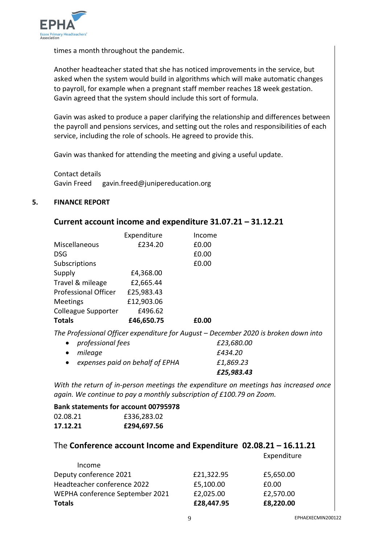

times a month throughout the pandemic.

Another headteacher stated that she has noticed improvements in the service, but asked when the system would build in algorithms which will make automatic changes to payroll, for example when a pregnant staff member reaches 18 week gestation. Gavin agreed that the system should include this sort of formula.

Gavin was asked to produce a paper clarifying the relationship and differences between the payroll and pensions services, and setting out the roles and responsibilities of each service, including the role of schools. He agreed to provide this.

Gavin was thanked for attending the meeting and giving a useful update.

Contact details Gavin Freed gavin.freed@junipereducation.org

## **5. FINANCE REPORT**

## **Current account income and expenditure 31.07.21 – 31.12.21**

|            | Income      |
|------------|-------------|
| £234.20    | £0.00       |
|            | £0.00       |
|            | £0.00       |
| £4,368.00  |             |
| £2,665.44  |             |
| £25,983.43 |             |
| £12,903.06 |             |
| £496.62    |             |
| £46,650.75 | £0.00       |
|            | Expenditure |

*The Professional Officer expenditure for August – December 2020 is broken down into* 

|                                   | £25,983.43 |
|-----------------------------------|------------|
| • expenses paid on behalf of EPHA | £1,869.23  |
| • mileage                         | £434.20    |
| • professional fees               | £23,680.00 |

*With the return of in-person meetings the expenditure on meetings has increased once again. We continue to pay a monthly subscription of £100.79 on Zoom.* 

# **Bank statements for account 00795978**

| 02.08.21 | £336,283.02 |
|----------|-------------|
| 17.12.21 | £294,697.56 |

## The **Conference account Income and Expenditure 02.08.21 – 16.11.21**

Expenditure

| Income                          |            |           |
|---------------------------------|------------|-----------|
| Deputy conference 2021          | £21,322.95 | £5,650.00 |
| Headteacher conference 2022     | £5,100.00  | £0.00     |
| WEPHA conference September 2021 | £2,025.00  | £2,570.00 |
| <b>Totals</b>                   | £28,447.95 | £8,220.00 |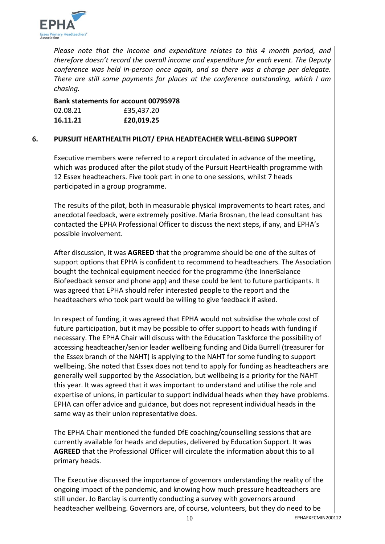

*Please note that the income and expenditure relates to this 4 month period, and therefore doesn't record the overall income and expenditure for each event. The Deputy conference was held in-person once again, and so there was a charge per delegate. There are still some payments for places at the conference outstanding, which I am chasing.* 

**Bank statements for account 00795978** 02.08.21 **£35.437.20 16.11.21 £20,019.25**

# **6. PURSUIT HEARTHEALTH PILOT/ EPHA HEADTEACHER WELL-BEING SUPPORT**

Executive members were referred to a report circulated in advance of the meeting, which was produced after the pilot study of the Pursuit HeartHealth programme with 12 Essex headteachers. Five took part in one to one sessions, whilst 7 heads participated in a group programme.

The results of the pilot, both in measurable physical improvements to heart rates, and anecdotal feedback, were extremely positive. Maria Brosnan, the lead consultant has contacted the EPHA Professional Officer to discuss the next steps, if any, and EPHA's possible involvement.

After discussion, it was **AGREED** that the programme should be one of the suites of support options that EPHA is confident to recommend to headteachers. The Association bought the technical equipment needed for the programme (the InnerBalance Biofeedback sensor and phone app) and these could be lent to future participants. It was agreed that EPHA should refer interested people to the report and the headteachers who took part would be willing to give feedback if asked.

In respect of funding, it was agreed that EPHA would not subsidise the whole cost of future participation, but it may be possible to offer support to heads with funding if necessary. The EPHA Chair will discuss with the Education Taskforce the possibility of accessing headteacher/senior leader wellbeing funding and Dida Burrell (treasurer for the Essex branch of the NAHT) is applying to the NAHT for some funding to support wellbeing. She noted that Essex does not tend to apply for funding as headteachers are generally well supported by the Association, but wellbeing is a priority for the NAHT this year. It was agreed that it was important to understand and utilise the role and expertise of unions, in particular to support individual heads when they have problems. EPHA can offer advice and guidance, but does not represent individual heads in the same way as their union representative does.

The EPHA Chair mentioned the funded DfE coaching/counselling sessions that are currently available for heads and deputies, delivered by Education Support. It was **AGREED** that the Professional Officer will circulate the information about this to all primary heads.

The Executive discussed the importance of governors understanding the reality of the ongoing impact of the pandemic, and knowing how much pressure headteachers are still under. Jo Barclay is currently conducting a survey with governors around headteacher wellbeing. Governors are, of course, volunteers, but they do need to be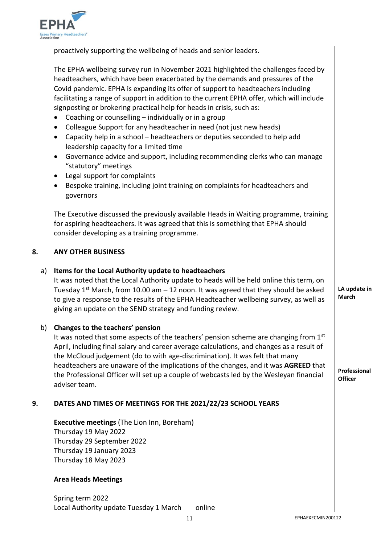

proactively supporting the wellbeing of heads and senior leaders.

The EPHA wellbeing survey run in November 2021 highlighted the challenges faced by headteachers, which have been exacerbated by the demands and pressures of the Covid pandemic. EPHA is expanding its offer of support to headteachers including facilitating a range of support in addition to the current EPHA offer, which will include signposting or brokering practical help for heads in crisis, such as:

- Coaching or counselling individually or in a group
- Colleague Support for any headteacher in need (not just new heads)
- Capacity help in a school headteachers or deputies seconded to help add leadership capacity for a limited time
- Governance advice and support, including recommending clerks who can manage "statutory" meetings
- Legal support for complaints
- Bespoke training, including joint training on complaints for headteachers and governors

The Executive discussed the previously available Heads in Waiting programme, training for aspiring headteachers. It was agreed that this is something that EPHA should consider developing as a training programme.

#### **8. ANY OTHER BUSINESS**

# a) **Items for the Local Authority update to headteachers**

It was noted that the Local Authority update to heads will be held online this term, on Tuesday  $1^{st}$  March, from 10.00 am  $-12$  noon. It was agreed that they should be asked to give a response to the results of the EPHA Headteacher wellbeing survey, as well as giving an update on the SEND strategy and funding review.

## b) **Changes to the teachers' pension**

It was noted that some aspects of the teachers' pension scheme are changing from  $1<sup>st</sup>$ April, including final salary and career average calculations, and changes as a result of the McCloud judgement (do to with age-discrimination). It was felt that many headteachers are unaware of the implications of the changes, and it was **AGREED** that the Professional Officer will set up a couple of webcasts led by the Wesleyan financial adviser team.

# **9. DATES AND TIMES OF MEETINGS FOR THE 2021/22/23 SCHOOL YEARS**

**Executive meetings** (The Lion Inn, Boreham) Thursday 19 May 2022 Thursday 29 September 2022 Thursday 19 January 2023 Thursday 18 May 2023

## **Area Heads Meetings**

Spring term 2022 Local Authority update Tuesday 1 March online **LA update in March**

**Professional Officer**